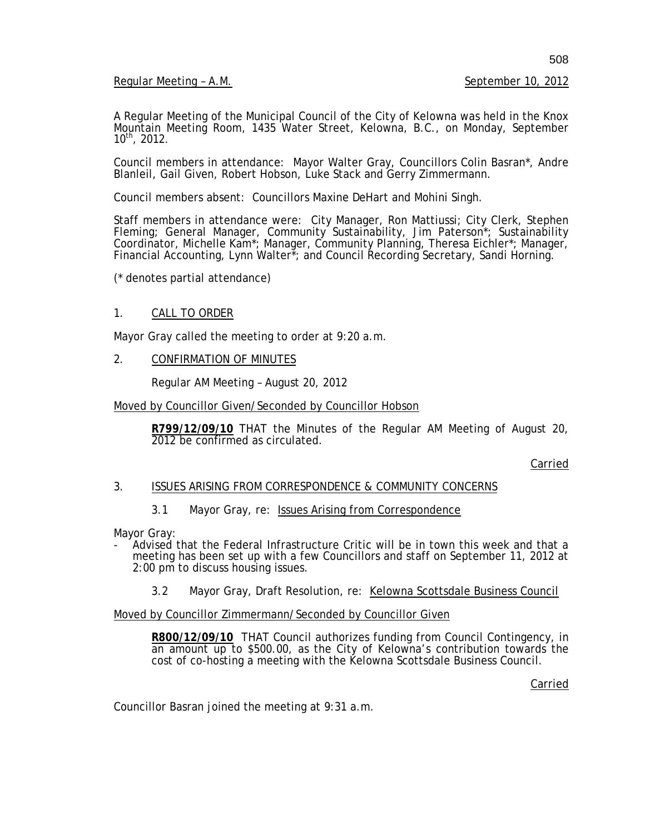Regular Meeting - A.M. September 10, 2012

A Regular Meeting of the Municipal Council of the City of Kelowna was held in the Knox Mountain Meeting Room, 1435 Water Street, Kelowna, B.C., on Monday, September  $10^{th}$ , 2012.

Council members in attendance: Mayor Walter Gray, Councillors Colin Basran\*, Andre Blanleil, Gail Given, Robert Hobson, Luke Stack and Gerry Zimmermann.

Council members absent: Councillors Maxine DeHart and Mohini Singh.

Staff members in attendance were: City Manager, Ron Mattiussi; City Clerk, Stephen Fleming; General Manager, Community Sustainability, Jim Paterson\*; Sustainability Coordinator, Michelle Kam\*; Manager, Community Planning, Theresa Eichler\*; Manager, Financial Accounting, Lynn Walter\*; and Council Recording Secretary, Sandi Horning.

(\* denotes partial attendance)

### 1. CALL TO ORDER

Mayor Gray called the meeting to order at 9:20 a.m.

2. CONFIRMATION OF MINUTES

Regular AM Meeting – August 20, 2012

Moved by Councillor Given/Seconded by Councillor Hobson

**R799/12/09/10** THAT the Minutes of the Regular AM Meeting of August 20, 2012 be confirmed as circulated.

Carried

#### 3. ISSUES ARISING FROM CORRESPONDENCE & COMMUNITY CONCERNS

### 3.1 Mayor Gray, re: Issues Arising from Correspondence

Mayor Gray:

- Advised that the Federal Infrastructure Critic will be in town this week and that a meeting has been set up with a few Councillors and staff on September 11, 2012 at 2:00 pm to discuss housing issues.

3.2 Mayor Gray, Draft Resolution, re: Kelowna Scottsdale Business Council

Moved by Councillor Zimmermann/Seconded by Councillor Given

**R800/12/09/10** THAT Council authorizes funding from Council Contingency, in an amount up to \$500.00, as the City of Kelowna's contribution towards the cost of co-hosting a meeting with the Kelowna Scottsdale Business Council.

Carried

Councillor Basran joined the meeting at 9:31 a.m.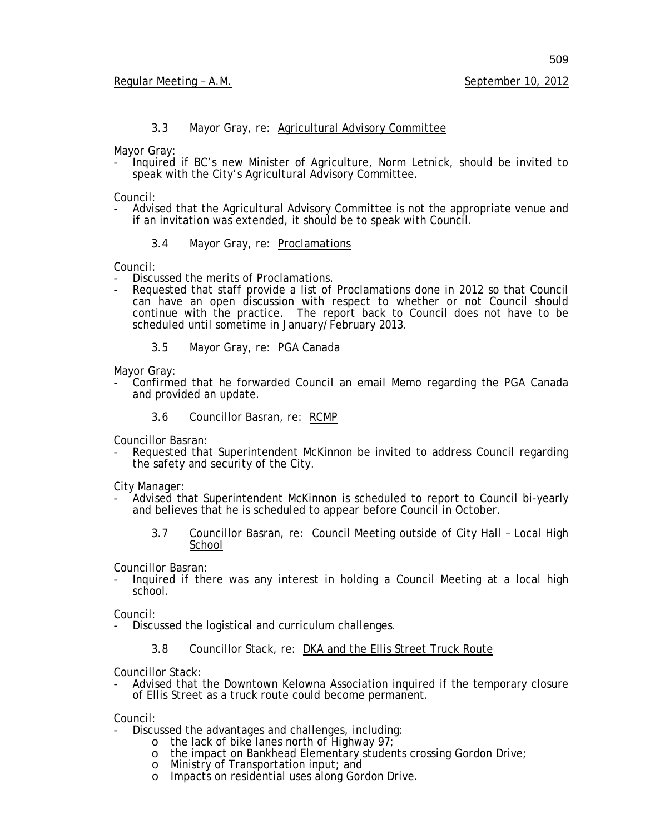# 3.3 Mayor Gray, re: Agricultural Advisory Committee

Mayor Gray:

- Inquired if BC's new Minister of Agriculture, Norm Letnick, should be invited to speak with the City's Agricultural Advisory Committee.

Council:

- Advised that the Agricultural Advisory Committee is not the appropriate venue and if an invitation was extended, it should be to speak with Council.
	- 3.4 Mayor Gray, re: Proclamations

- Council:<br>- Discussed the merits of Proclamations.
- Requested that staff provide a list of Proclamations done in 2012 so that Council can have an open discussion with respect to whether or not Council should continue with the practice. The report back to Council does not have to be scheduled until sometime in January/February 2013.
	- 3.5 Mayor Gray, re: PGA Canada

Mayor Gray:

- Confirmed that he forwarded Council an email Memo regarding the PGA Canada and provided an update.
	- 3.6 Councillor Basran, re: RCMP

Councillor Basran:

Requested that Superintendent McKinnon be invited to address Council regarding the safety and security of the City.

City Manager:

- Advised that Superintendent McKinnon is scheduled to report to Council bi-yearly and believes that he is scheduled to appear before Council in October.
	- 3.7 Councillor Basran, re: Council Meeting outside of City Hall Local High School

Councillor Basran:

Inquired if there was any interest in holding a Council Meeting at a local high school.

Council:

- Discussed the logistical and curriculum challenges.
	- 3.8 Councillor Stack, re: DKA and the Ellis Street Truck Route

Councillor Stack:

- Advised that the Downtown Kelowna Association inquired if the temporary closure of Ellis Street as a truck route could become permanent.

Council:

- Discussed the advantages and challenges, including:
	- o the lack of bike lanes north of Highway 97;
	- o the impact on Bankhead Elementary students crossing Gordon Drive;
	- o Ministry of Transportation input; and<br>o Impacts on residential uses along Gor
	- Impacts on residential uses along Gordon Drive.